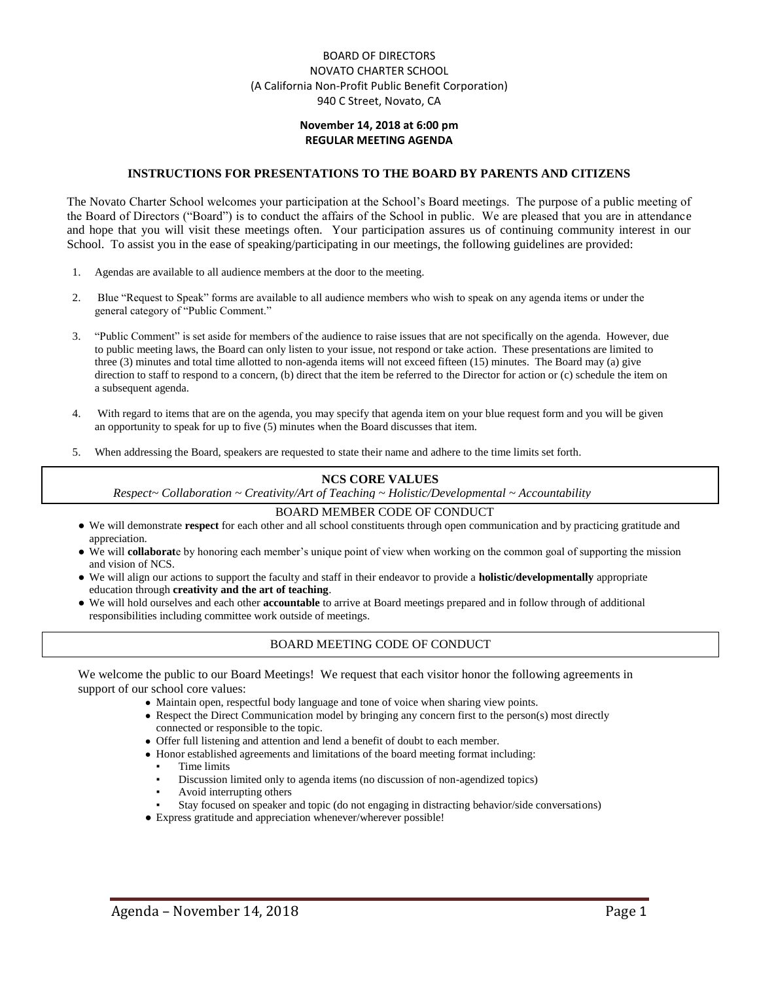## BOARD OF DIRECTORS NOVATO CHARTER SCHOOL (A California Non-Profit Public Benefit Corporation) 940 C Street, Novato, CA

## **November 14, 2018 at 6:00 pm REGULAR MEETING AGENDA**

### **INSTRUCTIONS FOR PRESENTATIONS TO THE BOARD BY PARENTS AND CITIZENS**

The Novato Charter School welcomes your participation at the School's Board meetings. The purpose of a public meeting of the Board of Directors ("Board") is to conduct the affairs of the School in public. We are pleased that you are in attendance and hope that you will visit these meetings often. Your participation assures us of continuing community interest in our School. To assist you in the ease of speaking/participating in our meetings, the following guidelines are provided:

- 1. Agendas are available to all audience members at the door to the meeting.
- 2. Blue "Request to Speak" forms are available to all audience members who wish to speak on any agenda items or under the general category of "Public Comment."
- 3. "Public Comment" is set aside for members of the audience to raise issues that are not specifically on the agenda. However, due to public meeting laws, the Board can only listen to your issue, not respond or take action. These presentations are limited to three (3) minutes and total time allotted to non-agenda items will not exceed fifteen (15) minutes. The Board may (a) give direction to staff to respond to a concern, (b) direct that the item be referred to the Director for action or (c) schedule the item on a subsequent agenda.
- 4. With regard to items that are on the agenda, you may specify that agenda item on your blue request form and you will be given an opportunity to speak for up to five (5) minutes when the Board discusses that item.
- 5. When addressing the Board, speakers are requested to state their name and adhere to the time limits set forth.

#### **NCS CORE VALUES**

*Respect~ Collaboration ~ Creativity/Art of Teaching ~ Holistic/Developmental ~ Accountability*

#### BOARD MEMBER CODE OF CONDUCT

- We will demonstrate **respect** for each other and all school constituents through open communication and by practicing gratitude and appreciation.
- We will **collaborat**e by honoring each member's unique point of view when working on the common goal of supporting the mission and vision of NCS.
- We will align our actions to support the faculty and staff in their endeavor to provide a **holistic/developmentally** appropriate education through **creativity and the art of teaching**.
- We will hold ourselves and each other **accountable** to arrive at Board meetings prepared and in follow through of additional responsibilities including committee work outside of meetings.

## BOARD MEETING CODE OF CONDUCT

We welcome the public to our Board Meetings! We request that each visitor honor the following agreements in support of our school core values:

- Maintain open, respectful body language and tone of voice when sharing view points.
- Respect the Direct Communication model by bringing any concern first to the person(s) most directly connected or responsible to the topic.
- Offer full listening and attention and lend a benefit of doubt to each member.
- Honor established agreements and limitations of the board meeting format including:
	- Time limits
	- Discussion limited only to agenda items (no discussion of non-agendized topics)
	- Avoid interrupting others
	- Stay focused on speaker and topic (do not engaging in distracting behavior/side conversations)
- Express gratitude and appreciation whenever/wherever possible!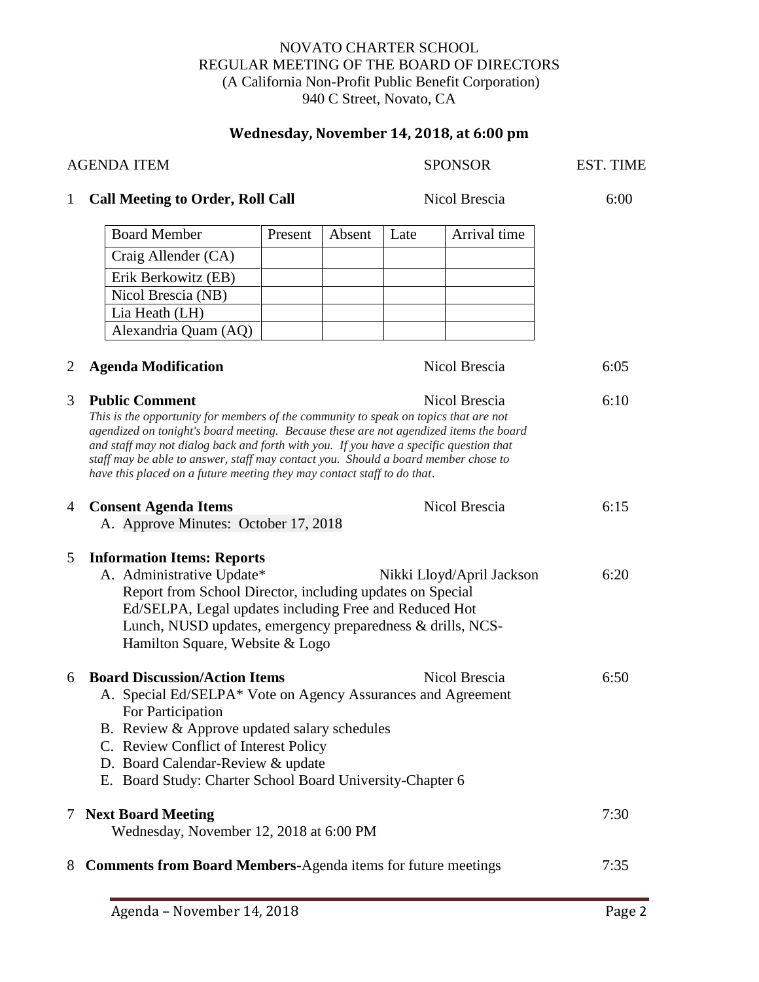## NOVATO CHARTER SCHOOL REGULAR MEETING OF THE BOARD OF DIRECTORS (A California Non-Profit Public Benefit Corporation) 940 C Street, Novato, CA

# **Wednesday, November 14, 2018, at 6:00 pm**

| <b>AGENDA ITEM</b> |                                                                                                                                                                                                                                                                                                                                                                                                                                                                                    |         |        | <b>SPONSOR</b> |              | EST. TIME |
|--------------------|------------------------------------------------------------------------------------------------------------------------------------------------------------------------------------------------------------------------------------------------------------------------------------------------------------------------------------------------------------------------------------------------------------------------------------------------------------------------------------|---------|--------|----------------|--------------|-----------|
| 1                  | <b>Call Meeting to Order, Roll Call</b>                                                                                                                                                                                                                                                                                                                                                                                                                                            |         |        | Nicol Brescia  |              | 6:00      |
|                    | <b>Board Member</b>                                                                                                                                                                                                                                                                                                                                                                                                                                                                | Present | Absent | Late           | Arrival time |           |
|                    | Craig Allender (CA)                                                                                                                                                                                                                                                                                                                                                                                                                                                                |         |        |                |              |           |
|                    | Erik Berkowitz (EB)                                                                                                                                                                                                                                                                                                                                                                                                                                                                |         |        |                |              |           |
|                    | Nicol Brescia (NB)                                                                                                                                                                                                                                                                                                                                                                                                                                                                 |         |        |                |              |           |
|                    | Lia Heath (LH)                                                                                                                                                                                                                                                                                                                                                                                                                                                                     |         |        |                |              |           |
|                    | Alexandria Quam (AQ)                                                                                                                                                                                                                                                                                                                                                                                                                                                               |         |        |                |              |           |
| 2                  | <b>Agenda Modification</b><br>Nicol Brescia                                                                                                                                                                                                                                                                                                                                                                                                                                        |         |        |                |              | 6:05      |
| 3                  | <b>Public Comment</b><br>Nicol Brescia<br>This is the opportunity for members of the community to speak on topics that are not<br>agendized on tonight's board meeting. Because these are not agendized items the board<br>and staff may not dialog back and forth with you. If you have a specific question that<br>staff may be able to answer, staff may contact you. Should a board member chose to<br>have this placed on a future meeting they may contact staff to do that. |         |        |                |              | 6:10      |
| 4                  | Nicol Brescia<br><b>Consent Agenda Items</b><br>A. Approve Minutes: October 17, 2018                                                                                                                                                                                                                                                                                                                                                                                               |         |        |                |              | 6:15      |
| 5                  | <b>Information Items: Reports</b><br>A. Administrative Update*<br>Nikki Lloyd/April Jackson<br>Report from School Director, including updates on Special<br>Ed/SELPA, Legal updates including Free and Reduced Hot<br>Lunch, NUSD updates, emergency preparedness & drills, NCS-<br>Hamilton Square, Website & Logo                                                                                                                                                                |         |        |                |              | 6:20      |
| 6                  | <b>Board Discussion/Action Items</b><br>Nicol Brescia<br>A. Special Ed/SELPA* Vote on Agency Assurances and Agreement<br>For Participation<br>B. Review & Approve updated salary schedules<br>C. Review Conflict of Interest Policy<br>D. Board Calendar-Review & update<br>E. Board Study: Charter School Board University-Chapter 6                                                                                                                                              |         |        |                |              | 6:50      |
|                    | <b>Next Board Meeting</b><br>Wednesday, November 12, 2018 at 6:00 PM                                                                                                                                                                                                                                                                                                                                                                                                               |         |        |                |              | 7:30      |
| 8                  | <b>Comments from Board Members-Agenda items for future meetings</b>                                                                                                                                                                                                                                                                                                                                                                                                                |         |        |                |              | 7:35      |